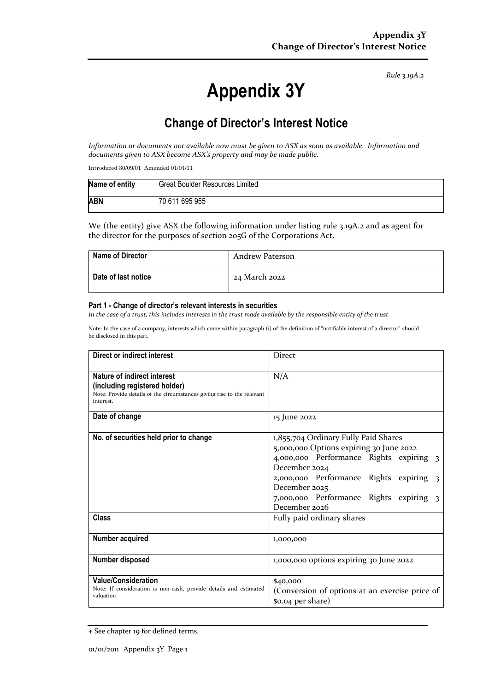*Rule 3.19A.2*

# **Appendix 3Y**

# **Change of Director's Interest Notice**

*Information or documents not available now must be given to ASX as soon as available. Information and documents given to ASX become ASX's property and may be made public.*

Introduced 30/09/01 Amended 01/01/11

| Name of entity | Great Boulder Resources Limited |
|----------------|---------------------------------|
| <b>ABN</b>     | 70 611 695 955                  |

We (the entity) give ASX the following information under listing rule 3.19A.2 and as agent for the director for the purposes of section 205G of the Corporations Act.

| Name of Director    | Andrew Paterson |
|---------------------|-----------------|
| Date of last notice | 24 March 2022   |

#### **Part 1 - Change of director's relevant interests in securities**

*In the case of a trust, this includes interests in the trust made available by the responsible entity of the trust*

Note: In the case of a company, interests which come within paragraph (i) of the definition of "notifiable interest of a director" should be disclosed in this part.

| Direct or indirect interest                                                                                                                         | <b>Direct</b>                                                                                                                                                                                                                                                       |  |  |
|-----------------------------------------------------------------------------------------------------------------------------------------------------|---------------------------------------------------------------------------------------------------------------------------------------------------------------------------------------------------------------------------------------------------------------------|--|--|
| Nature of indirect interest<br>(including registered holder)<br>Note: Provide details of the circumstances giving rise to the relevant<br>interest. | N/A                                                                                                                                                                                                                                                                 |  |  |
| Date of change                                                                                                                                      | 15 June 2022                                                                                                                                                                                                                                                        |  |  |
| No. of securities held prior to change                                                                                                              | 1,855,704 Ordinary Fully Paid Shares<br>5,000,000 Options expiring 30 June 2022<br>4,000,000 Performance Rights expiring 3<br>December 2024<br>2,000,000 Performance Rights expiring 3<br>December 2025<br>7,000,000 Performance Rights expiring 3<br>December 2026 |  |  |
| Class                                                                                                                                               | Fully paid ordinary shares                                                                                                                                                                                                                                          |  |  |
| Number acquired                                                                                                                                     | 1,000,000                                                                                                                                                                                                                                                           |  |  |
| Number disposed                                                                                                                                     | 1,000,000 options expiring 30 June 2022                                                                                                                                                                                                                             |  |  |
| <b>Value/Consideration</b><br>Note: If consideration is non-cash, provide details and estimated<br>valuation                                        | \$40,000<br>(Conversion of options at an exercise price of<br>\$0.04 per share)                                                                                                                                                                                     |  |  |

<sup>+</sup> See chapter 19 for defined terms.